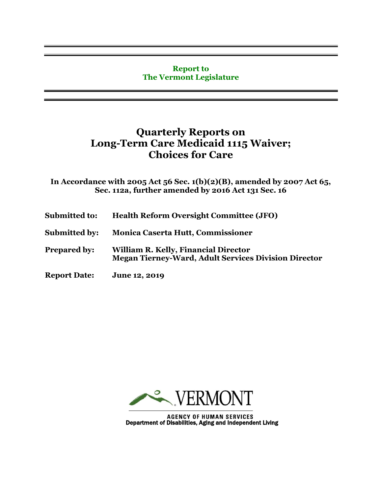## **Report to The Vermont Legislature**

## **Quarterly Reports on Long-Term Care Medicaid 1115 Waiver; Choices for Care**

**In Accordance with 2005 Act 56 Sec. 1(b)(2)(B), amended by 2007 Act 65, Sec. 112a, further amended by 2016 Act 131 Sec. 16**

- **Submitted to: Health Reform Oversight Committee (JFO)**
- **Submitted by: Monica Caserta Hutt, Commissioner**
- **Prepared by: William R. Kelly, Financial Director Megan Tierney-Ward, Adult Services Division Director**
- **Report Date: June 12, 2019**



AGENCY OF HUMAN SERVICES<br>Department of Disabilities, Aging and Independent Living